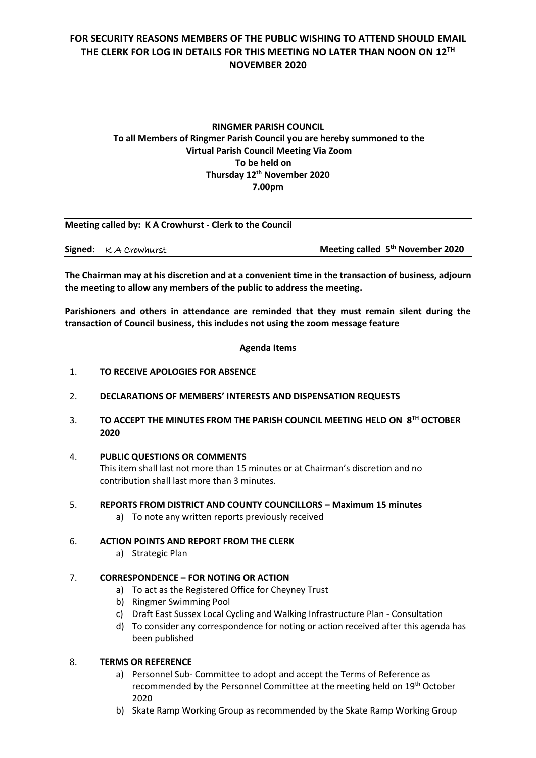# **FOR SECURITY REASONS MEMBERS OF THE PUBLIC WISHING TO ATTEND SHOULD EMAIL THE CLERK FOR LOG IN DETAILS FOR THIS MEETING NO LATER THAN NOON ON 12TH NOVEMBER 2020**

# **RINGMER PARISH COUNCIL To all Members of Ringmer Parish Council you are hereby summoned to the Virtual Parish Council Meeting Via Zoom To be held on Thursday 12th November 2020 7.00pm**

| Meeting called by: K A Crowhurst - Clerk to the Council |                                     |                                              |
|---------------------------------------------------------|-------------------------------------|----------------------------------------------|
|                                                         | <b>Signed:</b> $\kappa$ A Crowhurst | Meeting called 5 <sup>th</sup> November 2020 |

**The Chairman may at his discretion and at a convenient time in the transaction of business, adjourn the meeting to allow any members of the public to address the meeting.**

**Parishioners and others in attendance are reminded that they must remain silent during the transaction of Council business, this includes not using the zoom message feature**

**Agenda Items**

- 1. **TO RECEIVE APOLOGIES FOR ABSENCE**
- 2. **DECLARATIONS OF MEMBERS' INTERESTS AND DISPENSATION REQUESTS**
- 3. **TO ACCEPT THE MINUTES FROM THE PARISH COUNCIL MEETING HELD ON 8TH OCTOBER 2020**
- 4. **PUBLIC QUESTIONS OR COMMENTS**

This item shall last not more than 15 minutes or at Chairman's discretion and no contribution shall last more than 3 minutes.

- 5. **REPORTS FROM DISTRICT AND COUNTY COUNCILLORS – Maximum 15 minutes**
	- a) To note any written reports previously received
- 6. **ACTION POINTS AND REPORT FROM THE CLERK**
	- a) Strategic Plan

### 7. **CORRESPONDENCE – FOR NOTING OR ACTION**

- a) To act as the Registered Office for Cheyney Trust
- b) Ringmer Swimming Pool
- c) Draft East Sussex Local Cycling and Walking Infrastructure Plan Consultation
- d) To consider any correspondence for noting or action received after this agenda has been published

### 8. **TERMS OR REFERENCE**

- a) Personnel Sub- Committee to adopt and accept the Terms of Reference as recommended by the Personnel Committee at the meeting held on 19th October 2020
- b) Skate Ramp Working Group as recommended by the Skate Ramp Working Group